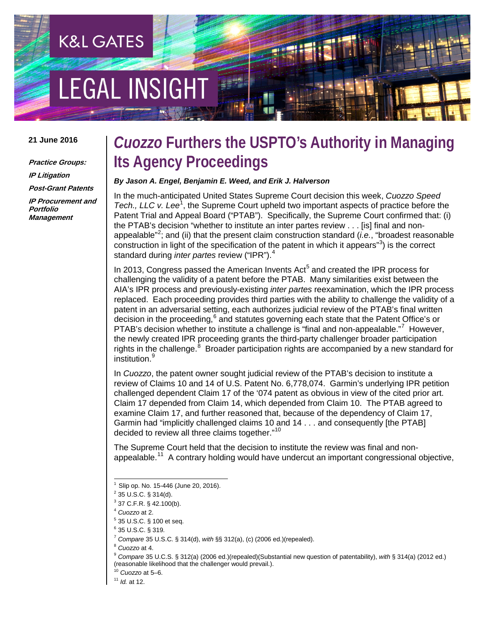# **EGAL INSIGHT**

**K&L GATES** 

#### **21 June 2016**

**Practice Groups: IP Litigation Post-Grant Patents IP Procurement and Portfolio Management**

### *Cuozzo* **Furthers the USPTO's Authority in Managing Its Agency Proceedings**

### *By Jason A. Engel, Benjamin E. Weed, and Erik J. Halverson*

In the much-anticipated United States Supreme Court decision this week, *Cuozzo Speed*  Tech., LLC v. Lee<sup>[1](#page-0-0)</sup>, the Supreme Court upheld two important aspects of practice before the Patent Trial and Appeal Board ("PTAB"). Specifically, the Supreme Court confirmed that: (i) the PTAB's decision "whether to institute an inter partes review . . . [is] final and non-appealable"<sup>[2](#page-0-1)</sup>; and (ii) that the present claim construction standard (*i.e.*, "broadest reasonable construction in light of the specification of the patent in which it appears" $3$ ) is the correct standard during *inter partes* review ("IPR").[4](#page-0-3)

In 2013, Congress passed the American Invents  $Act<sup>5</sup>$  $Act<sup>5</sup>$  $Act<sup>5</sup>$  and created the IPR process for challenging the validity of a patent before the PTAB. Many similarities exist between the AIA's IPR process and previously-existing *inter partes* reexamination, which the IPR process replaced. Each proceeding provides third parties with the ability to challenge the validity of a patent in an adversarial setting, each authorizes judicial review of the PTAB's final written decision in the proceeding, $6$  and statutes governing each state that the Patent Office's or PTAB's decision whether to institute a challenge is "final and non-appealable."<sup>[7](#page-0-6)</sup> However, the newly created IPR proceeding grants the third-party challenger broader participation rights in the challenge.<sup>[8](#page-0-7)</sup> Broader participation rights are accompanied by a new standard for institution.<sup>[9](#page-0-8)</sup>

In *Cuozzo*, the patent owner sought judicial review of the PTAB's decision to institute a review of Claims 10 and 14 of U.S. Patent No. 6,778,074. Garmin's underlying IPR petition challenged dependent Claim 17 of the '074 patent as obvious in view of the cited prior art. Claim 17 depended from Claim 14, which depended from Claim 10. The PTAB agreed to examine Claim 17, and further reasoned that, because of the dependency of Claim 17, Garmin had "implicitly challenged claims 10 and 14 . . . and consequently [the PTAB] decided to review all three claims together."<sup>10</sup>

The Supreme Court held that the decision to institute the review was final and nonappealable.<sup>11</sup> A contrary holding would have undercut an important congressional objective,

<span id="page-0-8"></span><span id="page-0-7"></span>

<span id="page-0-9"></span><sup>10</sup> *Cuozzo* at 5–6.

<span id="page-0-0"></span>Slip op. No. 15-446 (June 20, 2016).

<span id="page-0-1"></span> $2$  35 U.S.C. § 314(d).

<span id="page-0-2"></span> $3$  37 C.F.R. § 42.100(b).

<span id="page-0-3"></span><sup>4</sup> *Cuozzo* at 2.

<span id="page-0-4"></span><sup>5</sup> 35 U.S.C. § 100 et seq.

<span id="page-0-6"></span><span id="page-0-5"></span><sup>6</sup> 35 U.S.C. § 319.

<sup>7</sup> *Compare* 35 U.S.C. § 314(d), *with* §§ 312(a), (c) (2006 ed.)(repealed).

<sup>8</sup> *Cuozzo* at 4. 9 *Compare* 35 U.C.S. § 312(a) (2006 ed.)(repealed)(Substantial new question of patentability), *with* § 314(a) (2012 ed.) (reasonable likelihood that the challenger would prevail.).

<span id="page-0-10"></span><sup>11</sup> *Id.* at 12.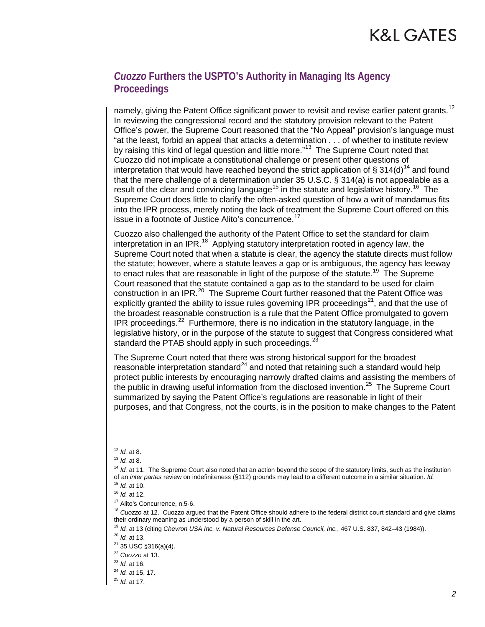# K&L GATES

### *Cuozzo* **Furthers the USPTO's Authority in Managing Its Agency Proceedings**

namely, giving the Patent Office significant power to revisit and revise earlier patent grants.<sup>[12](#page-1-0)</sup> In reviewing the congressional record and the statutory provision relevant to the Patent Office's power, the Supreme Court reasoned that the "No Appeal" provision's language must "at the least, forbid an appeal that attacks a determination . . . of whether to institute review by raising this kind of legal question and little more."<sup>[13](#page-1-1)</sup> The Supreme Court noted that Cuozzo did not implicate a constitutional challenge or present other questions of interpretation that would have reached beyond the strict application of  $\S 314(d)^{14}$  $\S 314(d)^{14}$  $\S 314(d)^{14}$  and found that the mere challenge of a determination under 35 U.S.C. § 314(a) is not appealable as a result of the clear and convincing language<sup>[15](#page-1-3)</sup> in the statute and legislative history.<sup>[16](#page-1-4)</sup> The Supreme Court does little to clarify the often-asked question of how a writ of mandamus fits into the IPR process, merely noting the lack of treatment the Supreme Court offered on this issue in a footnote of Justice Alito's concurrence.<sup>[17](#page-1-5)</sup>

Cuozzo also challenged the authority of the Patent Office to set the standard for claim interpretation in an IPR.<sup>18</sup> Applying statutory interpretation rooted in agency law, the Supreme Court noted that when a statute is clear, the agency the statute directs must follow the statute; however, where a statute leaves a gap or is ambiguous, the agency has leeway to enact rules that are reasonable in light of the purpose of the statute.<sup>19</sup> The Supreme Court reasoned that the statute contained a gap as to the standard to be used for claim construction in an IPR.<sup>20</sup> The Supreme Court further reasoned that the Patent Office was explicitly granted the ability to issue rules governing IPR proceedings<sup>[21](#page-1-9)</sup>, and that the use of the broadest reasonable construction is a rule that the Patent Office promulgated to govern IPR proceedings.<sup>22</sup> Furthermore, there is no indication in the statutory language, in the legislative history, or in the purpose of the statute to suggest that Congress considered what standard the PTAB should apply in such proceedings.<sup>27</sup>

The Supreme Court noted that there was strong historical support for the broadest reasonable interpretation standard $^{24}$  $^{24}$  $^{24}$  and noted that retaining such a standard would help protect public interests by encouraging narrowly drafted claims and assisting the members of the public in drawing useful information from the disclosed invention.<sup>25</sup> The Supreme Court summarized by saying the Patent Office's regulations are reasonable in light of their purposes, and that Congress, not the courts, is in the position to make changes to the Patent

<span id="page-1-0"></span> <sup>12</sup> *Id.* at 8.

<span id="page-1-1"></span><sup>13</sup> *Id.* at 8.

<span id="page-1-2"></span><sup>&</sup>lt;sup>14</sup> *Id.* at 11. The Supreme Court also noted that an action beyond the scope of the statutory limits, such as the institution of an *inter partes* review on indefiniteness (§112) grounds may lead to a different outcome in a similar situation. *Id.*

<span id="page-1-3"></span><sup>15</sup> *Id.* at 10.

<sup>16</sup> *Id.* at 12.

<span id="page-1-5"></span><span id="page-1-4"></span><sup>&</sup>lt;sup>17</sup> Alito's Concurrence, n.5-6.

<span id="page-1-6"></span><sup>&</sup>lt;sup>18</sup> Cuozzo at 12. Cuozzo argued that the Patent Office should adhere to the federal district court standard and give claims their ordinary meaning as understood by a person of skill in the art.

<sup>19</sup> *Id.* at 13 (citing *Chevron USA Inc. v. Natural Resources Defense Council, Inc.*, 467 U.S. 837, 842–43 (1984)).

<span id="page-1-7"></span><sup>20</sup> *Id.* at 13.

<span id="page-1-9"></span><span id="page-1-8"></span> $21$  35 USC §316(a)(4).

<span id="page-1-11"></span><span id="page-1-10"></span><sup>&</sup>lt;sup>22</sup> *Cuozzo* at 13.<br><sup>23</sup> *Id.* at 16.

<span id="page-1-12"></span><sup>23</sup> *Id.* at 16. 24 *Id.* at 15, 17.

<span id="page-1-13"></span><sup>25</sup> *Id.* at 17.